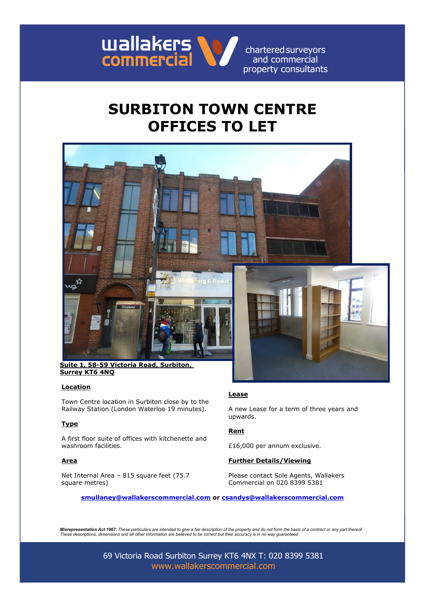

# **SURBITON TOWN CENTRE OFFICES TO LET**



**Suite 1, 58-59 Victoria Road, Surbiton, Surrey KT6 4NQ**

### **Location**

Town Centre location in Surbiton close by to the Railway Station (London Waterloo 19 minutes).

### **Type**

A first floor suite of offices with kitchenette and washroom facilities. **E16,000** per annum exclusive.

Net Internal Area – 815 square feet (75.7 square metres)

## **Lease**

A new Lease for a term of three years and upwards.

### **Rent**

### **Area Further Details/Viewing**

Please contact Sole Agents, Wallakers Commercial on 020 8399 5381

**smullaney@wallakerscommercial.com or csandys@wallakerscommercial.com**

*Misrepresentation Act 1967: These particulars are intended to give a fair description of the property and do not form the basis of a contract or any part thereof. These descriptions, dimensions and all other information are believed to be correct but their accuracy is in no way guaranteed.*

> 69 Victoria Road Surbiton Surrey KT6 4NX T: 020 8399 5381 www.wallakerscommercial.com